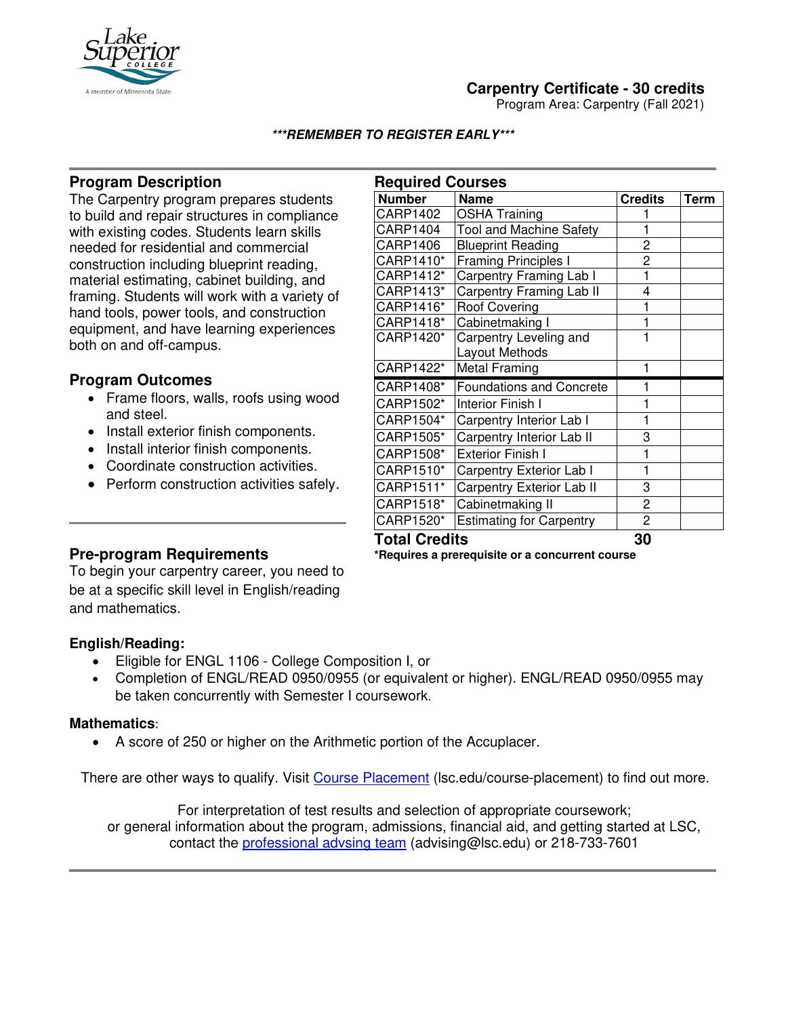

# **Carpentry Certificate - 30 credits**

Program Area: Carpentry (Fall 2021)

### **\*\*\*REMEMBER TO REGISTER EARLY\*\*\***

## **Program Description**

The Carpentry program prepares students to build and repair structures in compliance with existing codes. Students learn skills needed for residential and commercial construction including blueprint reading, material estimating, cabinet building, and framing. Students will work with a variety of hand tools, power tools, and construction equipment, and have learning experiences both on and off-campus.

## **Program Outcomes**

- Frame floors, walls, roofs using wood and steel.
- Install exterior finish components.
- Install interior finish components.
- Coordinate construction activities.
- Perform construction activities safely.

| <b>Required Courses</b> |                                 |                |      |
|-------------------------|---------------------------------|----------------|------|
| <b>Number</b>           | <b>Name</b>                     | <b>Credits</b> | Term |
| CARP1402                | <b>OSHA Training</b>            |                |      |
| CARP1404                | <b>Tool and Machine Safety</b>  |                |      |
| CARP1406                | <b>Blueprint Reading</b>        | 2              |      |
| CARP1410*               | <b>Framing Principles I</b>     | $\overline{c}$ |      |
| CARP1412*               | Carpentry Framing Lab I         | 1              |      |
| CARP1413*               | Carpentry Framing Lab II        | 4              |      |
| CARP1416*               | <b>Roof Covering</b>            |                |      |
| CARP1418*               | Cabinetmaking I                 | 1              |      |
| CARP1420*               | Carpentry Leveling and          |                |      |
|                         | Layout Methods                  |                |      |
| CARP1422*               | <b>Metal Framing</b>            |                |      |
| CARP1408*               | <b>Foundations and Concrete</b> |                |      |
| CARP1502*               | Interior Finish I               |                |      |
| CARP1504*               | Carpentry Interior Lab I        | 1              |      |
| CARP1505*               | Carpentry Interior Lab II       | 3              |      |
| CARP1508*               | <b>Exterior Finish I</b>        | 1              |      |
| CARP1510*               | Carpentry Exterior Lab I        | 1              |      |
| CARP1511*               | Carpentry Exterior Lab II       | 3              |      |
| CARP1518*               | Cabinetmaking II                | 2              |      |
| CARP1520*               | <b>Estimating for Carpentry</b> | 2              |      |
| T 2121 Augustu<br>ΩΩ    |                                 |                |      |

## **Pre-program Requirements**

To begin your carpentry career, you need to be at a specific skill level in English/reading and mathematics.

### **English/Reading:**

- Eligible for ENGL 1106 College Composition I, or
- Completion of ENGL/READ 0950/0955 (or equivalent or higher). ENGL/READ 0950/0955 may be taken concurrently with Semester I coursework.

#### **Mathematics**:

Ϊ

• A score of 250 or higher on the Arithmetic portion of the Accuplacer.

There are other ways to qualify. Visit [Course Placement](https://www.lsc.edu/course-placement/) (lsc.edu/course-placement) to find out more.

For interpretation of test results and selection of appropriate coursework; or general information about the program, admissions, financial aid, and getting started at LSC, contact the [professional advsing team](mailto:advising@lsc.edu) (advising@lsc.edu) or 218-733-7601

**Total Credits 30**

**\*Requires a prerequisite or a concurrent course**